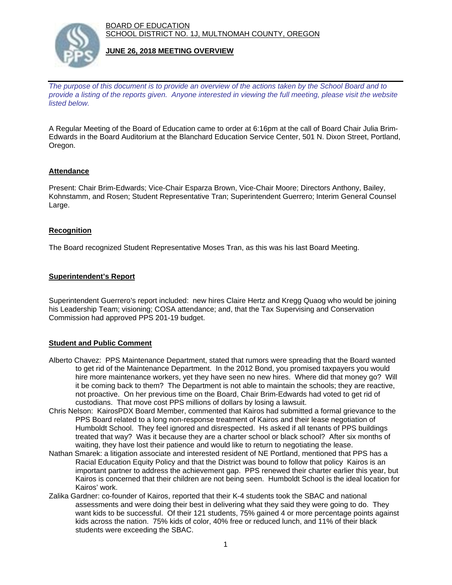BOARD OF EDUCATION SCHOOL DISTRICT NO. 1J, MULTNOMAH COUNTY, OREGON



### **JUNE 26, 2018 MEETING OVERVIEW**

*The purpose of this document is to provide an overview of the actions taken by the School Board and to provide a listing of the reports given. Anyone interested in viewing the full meeting, please visit the website listed below.*

A Regular Meeting of the Board of Education came to order at 6:16pm at the call of Board Chair Julia Brim-Edwards in the Board Auditorium at the Blanchard Education Service Center, 501 N. Dixon Street, Portland, Oregon.

# **Attendance**

Present: Chair Brim-Edwards; Vice-Chair Esparza Brown, Vice-Chair Moore; Directors Anthony, Bailey, Kohnstamm, and Rosen; Student Representative Tran; Superintendent Guerrero; Interim General Counsel Large.

### **Recognition**

The Board recognized Student Representative Moses Tran, as this was his last Board Meeting.

### **Superintendent's Report**

Superintendent Guerrero's report included: new hires Claire Hertz and Kregg Quaog who would be joining his Leadership Team; visioning; COSA attendance; and, that the Tax Supervising and Conservation Commission had approved PPS 201-19 budget.

# **Student and Public Comment**

- Alberto Chavez: PPS Maintenance Department, stated that rumors were spreading that the Board wanted to get rid of the Maintenance Department. In the 2012 Bond, you promised taxpayers you would hire more maintenance workers, yet they have seen no new hires. Where did that money go? Will it be coming back to them? The Department is not able to maintain the schools; they are reactive, not proactive. On her previous time on the Board, Chair Brim-Edwards had voted to get rid of custodians. That move cost PPS millions of dollars by losing a lawsuit.
- Chris Nelson: KairosPDX Board Member, commented that Kairos had submitted a formal grievance to the PPS Board related to a long non-response treatment of Kairos and their lease negotiation of Humboldt School. They feel ignored and disrespected. Hs asked if all tenants of PPS buildings treated that way? Was it because they are a charter school or black school? After six months of waiting, they have lost their patience and would like to return to negotiating the lease.
- Nathan Smarek: a litigation associate and interested resident of NE Portland, mentioned that PPS has a Racial Education Equity Policy and that the District was bound to follow that policy Kairos is an important partner to address the achievement gap. PPS renewed their charter earlier this year, but Kairos is concerned that their children are not being seen. Humboldt School is the ideal location for Kairos' work.
- Zalika Gardner: co-founder of Kairos, reported that their K-4 students took the SBAC and national assessments and were doing their best in delivering what they said they were going to do. They want kids to be successful. Of their 121 students, 75% gained 4 or more percentage points against kids across the nation. 75% kids of color, 40% free or reduced lunch, and 11% of their black students were exceeding the SBAC.